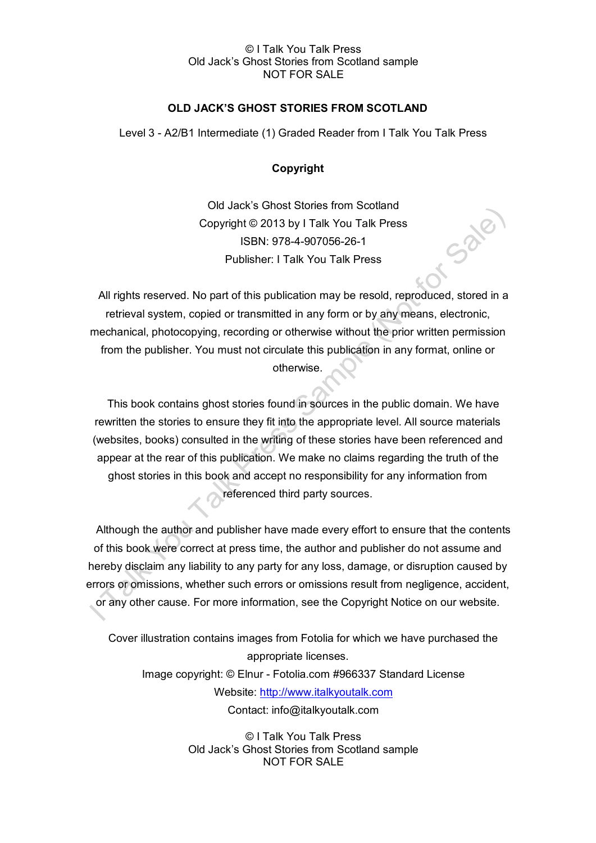### © I Talk You Talk Press Old Jack's Ghost Stories from Scotland sample NOT FOR SALE

# **OLD JACK'S GHOST STORIES FROM SCOTLAND**

Level 3 - A2/B1 Intermediate (1) Graded Reader from I Talk You Talk Press

## **Copyright**

Old Jack's Ghost Stories from Scotland Copyright © 2013 by I Talk You Talk Press ISBN: 978-4-907056-26-1 Publisher: I Talk You Talk Press

T-Sale

All rights reserved. No part of this publication may be resold, reproduced, stored in a retrieval system, copied or transmitted in any form or by any means, electronic, mechanical, photocopying, recording or otherwise without the prior written permission from the publisher. You must not circulate this publication in any format, online or otherwise.

This book contains ghost stories found in sources in the public domain. We have rewritten the stories to ensure they fit into the appropriate level. All source materials (websites, books) consulted in the writing of these stories have been referenced and appear at the rear of this publication. We make no claims regarding the truth of the ghost stories in this book and accept no responsibility for any information from referenced third party sources.

Although the author and publisher have made every effort to ensure that the contents of this book were correct at press time, the author and publisher do not assume and hereby disclaim any liability to any party for any loss, damage, or disruption caused by errors or omissions, whether such errors or omissions result from negligence, accident, or any other cause. For more information, see the Copyright Notice on our website.

Cover illustration contains images from Fotolia for which we have purchased the appropriate licenses. Image copyright: © Elnur - Fotolia.com #966337 Standard License Website: [http://www.italkyoutalk.com](http://www.italkyoutalk.com/) Contact: info@italkyoutalk.com

> © I Talk You Talk Press Old Jack's Ghost Stories from Scotland sample NOT FOR SALE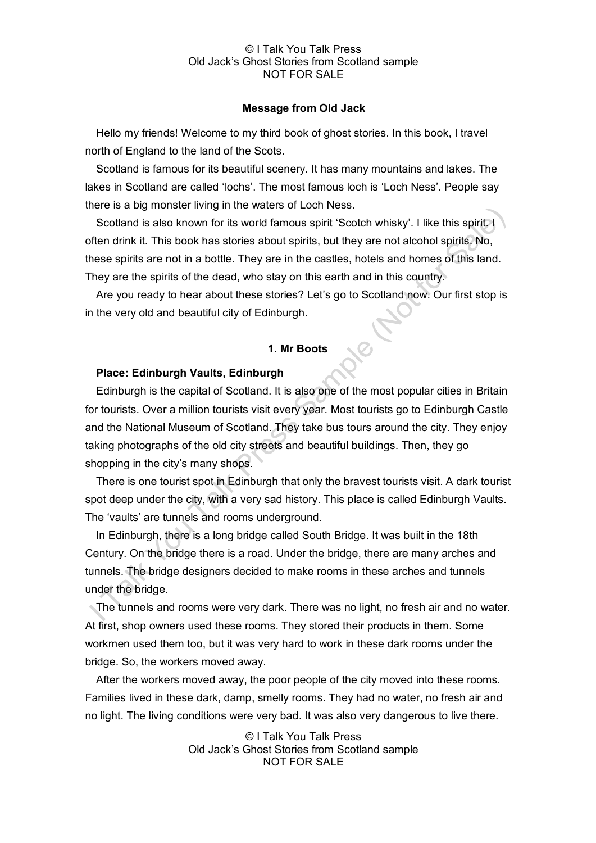#### © I Talk You Talk Press Old Jack's Ghost Stories from Scotland sample NOT FOR SALE

#### **Message from Old Jack**

Hello my friends! Welcome to my third book of ghost stories. In this book, I travel north of England to the land of the Scots.

Scotland is famous for its beautiful scenery. It has many mountains and lakes. The lakes in Scotland are called 'lochs'. The most famous loch is 'Loch Ness'. People say there is a big monster living in the waters of Loch Ness.

Scotland is also known for its world famous spirit 'Scotch whisky'. I like this spirit. I often drink it. This book has stories about spirits, but they are not alcohol spirits. No, these spirits are not in a bottle. They are in the castles, hotels and homes of this land. They are the spirits of the dead, who stay on this earth and in this country.

Are you ready to hear about these stories? Let's go to Scotland now. Our first stop is in the very old and beautiful city of Edinburgh.

# **1. Mr Boots**

### **Place: Edinburgh Vaults, Edinburgh**

Edinburgh is the capital of Scotland. It is also one of the most popular cities in Britain for tourists. Over a million tourists visit every year. Most tourists go to Edinburgh Castle and the National Museum of Scotland. They take bus tours around the city. They enjoy taking photographs of the old city streets and beautiful buildings. Then, they go shopping in the city's many shops.

There is one tourist spot in Edinburgh that only the bravest tourists visit. A dark tourist spot deep under the city, with a very sad history. This place is called Edinburgh Vaults. The 'vaults' are tunnels and rooms underground.

In Edinburgh, there is a long bridge called South Bridge. It was built in the 18th Century. On the bridge there is a road. Under the bridge, there are many arches and tunnels. The bridge designers decided to make rooms in these arches and tunnels under the bridge.

The tunnels and rooms were very dark. There was no light, no fresh air and no water. At first, shop owners used these rooms. They stored their products in them. Some workmen used them too, but it was very hard to work in these dark rooms under the bridge. So, the workers moved away.

After the workers moved away, the poor people of the city moved into these rooms. Families lived in these dark, damp, smelly rooms. They had no water, no fresh air and no light. The living conditions were very bad. It was also very dangerous to live there.

> © I Talk You Talk Press Old Jack's Ghost Stories from Scotland sample NOT FOR SALE